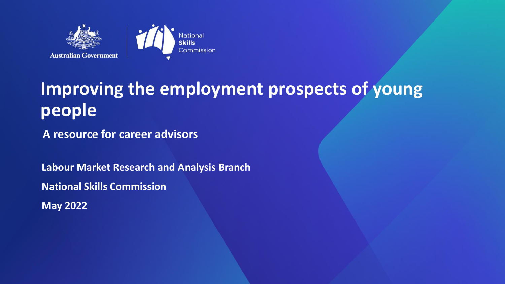

### **Improving the employment prospects of young people**

**A resource for career advisors**

**Labour Market Research and Analysis Branch National Skills Commission May 2022**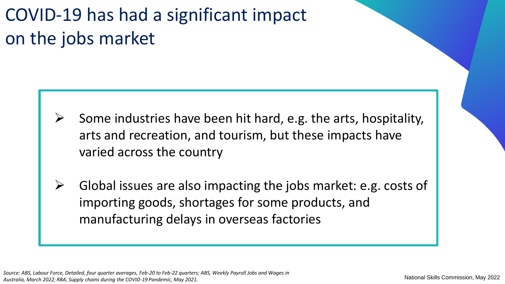### COVID-19 has had a significant impact on the jobs market

- Some industries have been hit hard, e.g. the arts, hospitality, arts and recreation, and tourism, but these impacts have varied across the country
- ➢ Global issues are also impacting the jobs market: e.g. costs of importing goods, shortages for some products, and manufacturing delays in overseas factories

*Source: ABS, Labour Force, Detailed, four quarter averages, Feb-20 to Feb-22 quarters; ABS, Weekly Payroll Jobs and Wages in Australia, March 2022; RBA, Supply chains during the COVID-19 Pandemic, May 2021.*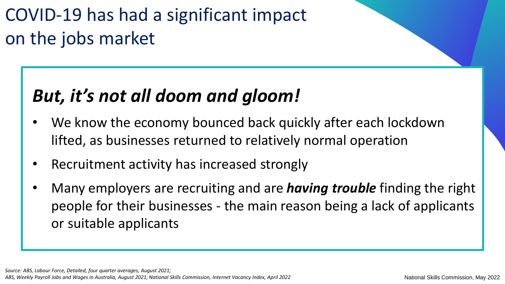### COVID-19 has had a significant impact on the jobs market

### *But, it's not all doom and gloom!*

- We know the economy bounced back quickly after each lockdown lifted, as businesses returned to relatively normal operation
- Recruitment activity has increased strongly
- Many employers are recruiting and are *having trouble* finding the right people for their businesses - the main reason being a lack of applicants or suitable applicants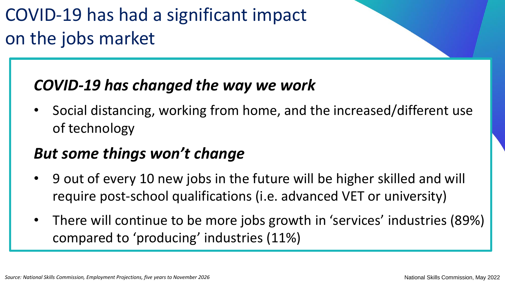### COVID-19 has had a significant impact on the jobs market

#### *COVID-19 has changed the way we work*

• Social distancing, working from home, and the increased/different use of technology

#### *But some things won't change*

- 9 out of every 10 new jobs in the future will be higher skilled and will require post-school qualifications (i.e. advanced VET or university)
- There will continue to be more jobs growth in 'services' industries (89%) compared to 'producing' industries (11%)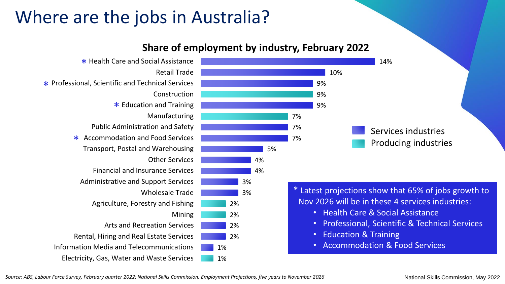### Where are the jobs in Australia?

#### **Share of employment by industry, February 2022**



*Source: ABS, Labour Force Survey, February quarter 2022; National Skills Commission, Employment Projections, five years to November 2026*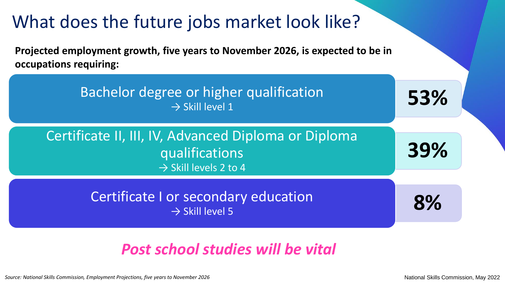

#### *Post school studies will be vital*

Source: National Skills Commission, Employment Projections, five years to November 2026 National Skills Commission, May 2022 National Skills Commission, May 2022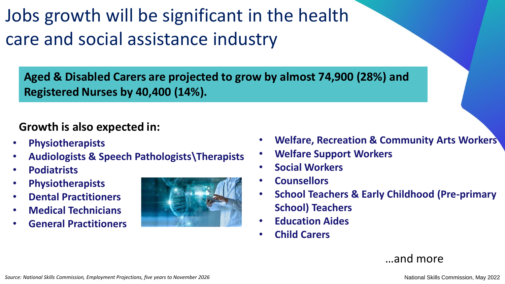Jobs growth will be significant in the health care and social assistance industry

**Aged & Disabled Carers are projected to grow by almost 74,900 (28%) and Registered Nurses by 40,400 (14%).**

#### **Growth is also expected in:**

- **Physiotherapists**
- **Audiologists & Speech Pathologists\Therapists**
- **Podiatrists**
- **Physiotherapists**
- **Dental Practitioners**
- **Medical Technicians**
- **General Practitioners**



- **Welfare, Recreation & Community Arts Workers**
- **Welfare Support Workers**
- **Social Workers**
- **Counsellors**
- **School Teachers & Early Childhood (Pre-primary School) Teachers**
- **Education Aides**
- **Child Carers**

…and more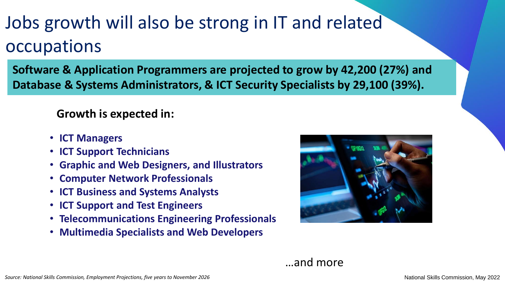### Jobs growth will also be strong in IT and related occupations

**Software & Application Programmers are projected to grow by 42,200 (27%) and Database & Systems Administrators, & ICT Security Specialists by 29,100 (39%).**

**Growth is expected in:**

- **ICT Managers**
- **ICT Support Technicians**
- **Graphic and Web Designers, and Illustrators**
- **Computer Network Professionals**
- **ICT Business and Systems Analysts**
- **ICT Support and Test Engineers**
- **Telecommunications Engineering Professionals**
- **Multimedia Specialists and Web Developers**

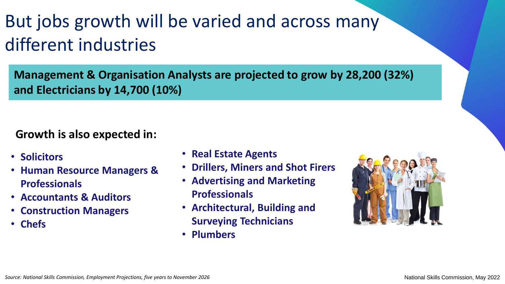### But jobs growth will be varied and across many different industries

**Management & Organisation Analysts are projected to grow by 28,200 (32%) and Electricians by 14,700 (10%)** 

#### **Growth is also expected in:**

- **Solicitors**
- **Human Resource Managers & Professionals**
- **Accountants & Auditors**
- **Construction Managers**
- **Chefs**
- **Real Estate Agents**
- **Drillers, Miners and Shot Firers**
- **Advertising and Marketing Professionals**
- **Architectural, Building and Surveying Technicians**
- **Plumbers**

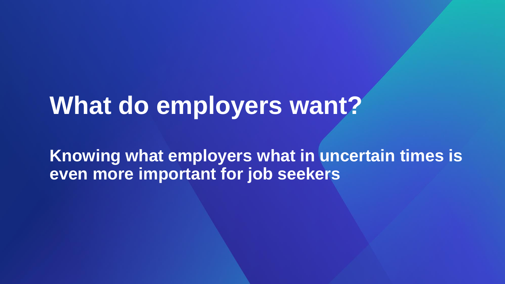## **What do employers want?**

**Knowing what employers what in uncertain times is even more important for job seekers**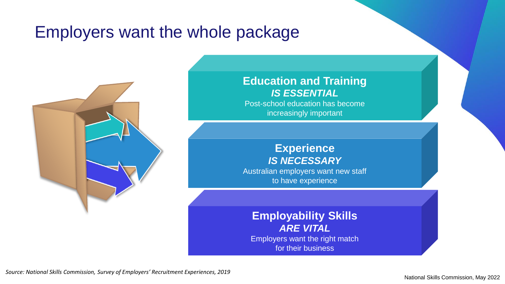#### Employers want the whole package



#### **Education and Training** *IS ESSENTIAL*

Post-school education has become increasingly important

#### **Experience** *IS NECESSARY*

Australian employers want new staff to have experience

**Employability Skills** *ARE VITAL* Employers want the right match for their business

*Source: National Skills Commission, Survey of Employers' Recruitment Experiences, 2019*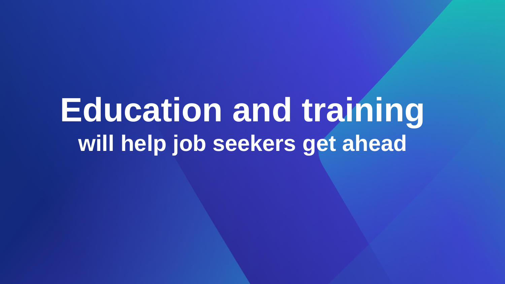## **Education and training will help job seekers get ahead**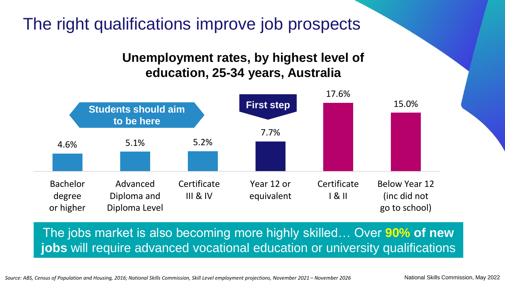The right qualifications improve job prospects

#### **Unemployment rates, by highest level of education, 25-34 years, Australia**



The jobs market is also becoming more highly skilled… Over **90% of new jobs** will require advanced vocational education or university qualifications

Source: ABS, Census of Population and Housing, 2016; National Skills Commission, Skill Level employment projections, November 2021 – November 2026 National Skills Commission, May 2022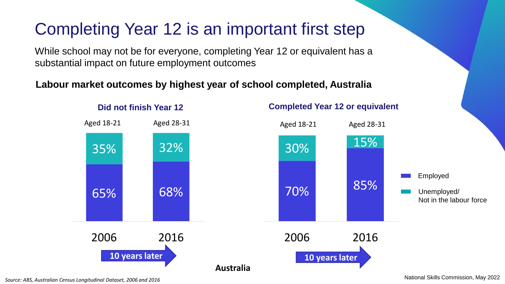### Completing Year 12 is an important first step

While school may not be for everyone, completing Year 12 or equivalent has a substantial impact on future employment outcomes

#### **Labour market outcomes by highest year of school completed, Australia**



*Source: ABS, Australian Census Longitudinal Dataset, 2006 and 2016*

National Skills Commission, May 2022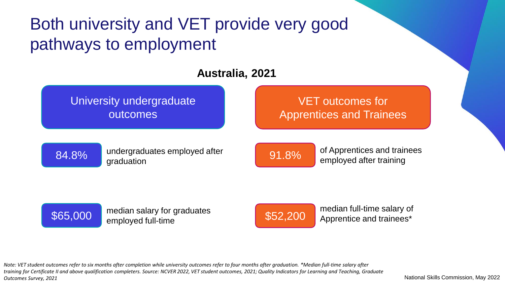### Both university and VET provide very good pathways to employment

#### **Australia, 2021**

University undergraduate outcomes

VET outcomes for Apprentices and Trainees



undergraduates employed after **191.8%** of Apprentices and trainees graduation

employed after training



\$65,000 median salary for graduates employed full-time

\$52,200 median full-time salary of

*Note: VET student outcomes refer to six months after completion while university outcomes refer to four months after graduation. \*Median full-time salary after training for Certificate II and above qualification completers. Source: NCVER 2022, VET student outcomes, 2021; Quality Indicators for Learning and Teaching, Graduate Outcomes Survey, 2021*

National Skills Commission, May 2022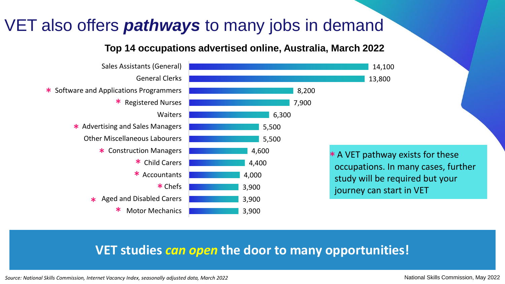### VET also offers *pathways* to many jobs in demand

#### **Top 14 occupations advertised online, Australia, March 2022**



#### **VET studies** *can open* **the door to many opportunities!**

*Source: National Skills Commission, Internet Vacancy Index, seasonally adjusted data, March 2022*

National Skills Commission, May 2022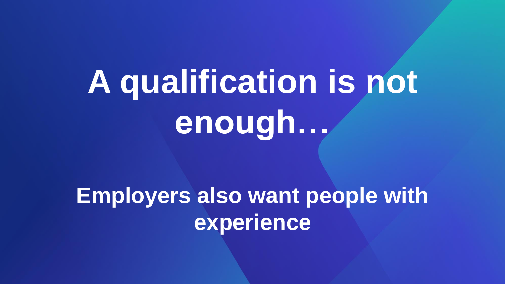# **A qualification is not enough…**

**Employers also want people with experience**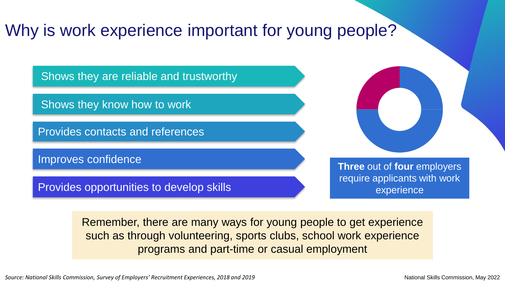### Why is work experience important for young people?

Shows they are reliable and trustworthy

Shows they know how to work

Provides contacts and references

Provides opportunities to develop skills

**Improves confidence Three** out of **four** employers require applicants with work experience

> Remember, there are many ways for young people to get experience such as through volunteering, sports clubs, school work experience programs and part-time or casual employment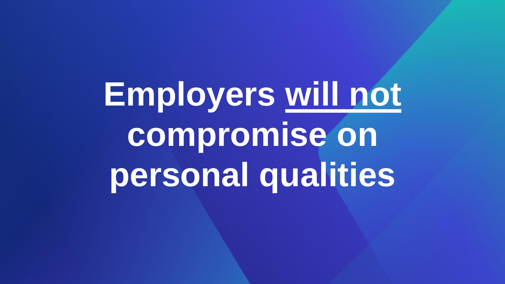**Employers will not compromise on personal qualities**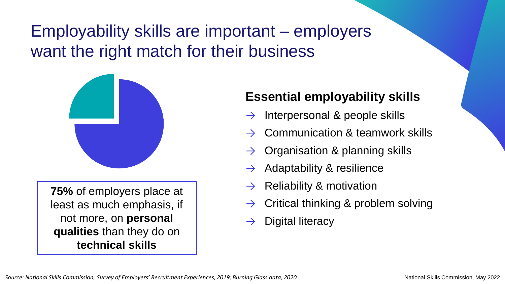### Employability skills are important – employers want the right match for their business



**75%** of employers place at least as much emphasis, if not more, on **personal qualities** than they do on **technical skills**

#### **Essential employability skills**

- Interpersonal & people skills
- Communication & teamwork skills
- Organisation & planning skills
- Adaptability & resilience
- Reliability & motivation
- Critical thinking & problem solving
- Digital literacy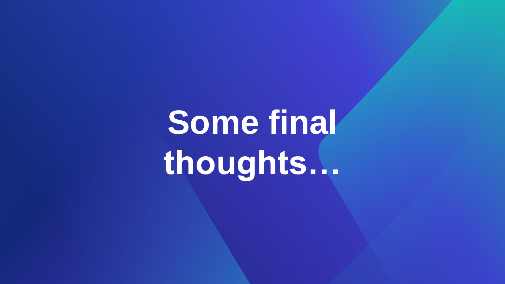**Some final thoughts…**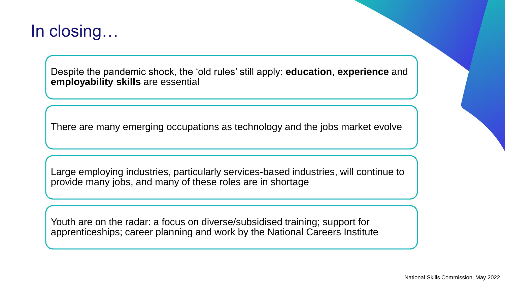#### In closing…

Despite the pandemic shock, the 'old rules' still apply: **education**, **experience** and **employability skills** are essential

There are many emerging occupations as technology and the jobs market evolve

Large employing industries, particularly services-based industries, will continue to provide many jobs, and many of these roles are in shortage

Youth are on the radar: a focus on diverse/subsidised training; support for apprenticeships; career planning and work by the National Careers Institute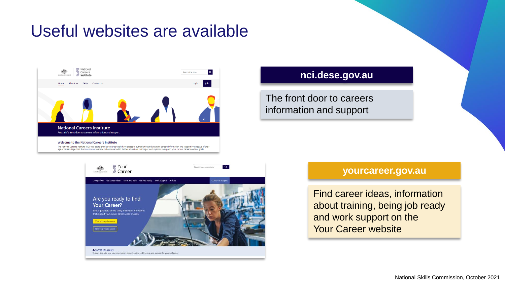### Useful websites are available



#### **[nci.dese.gov.au](https://joboutlook.gov.au/)**

The front door to careers information and support





#### **[yourcareer.gov.au](https://joboutlook.gov.au/)**

Find career ideas, information about training, being job ready and work support on the Your Career website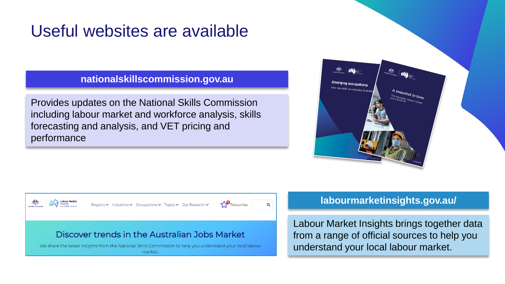### Useful websites are available

**[nationalskillscommission.gov.au](https://www.jobjumpstart.gov.au/)**

Provides updates on the National Skills Commission including labour market and workforce analysis, skills forecasting and analysis, and VET pricing and performance





#### **[labourmarketinsights.gov.au/](https://www.jobjumpstart.gov.au/)**

Labour Market Insights brings together data from a range of official sources to help you understand your local labour market.